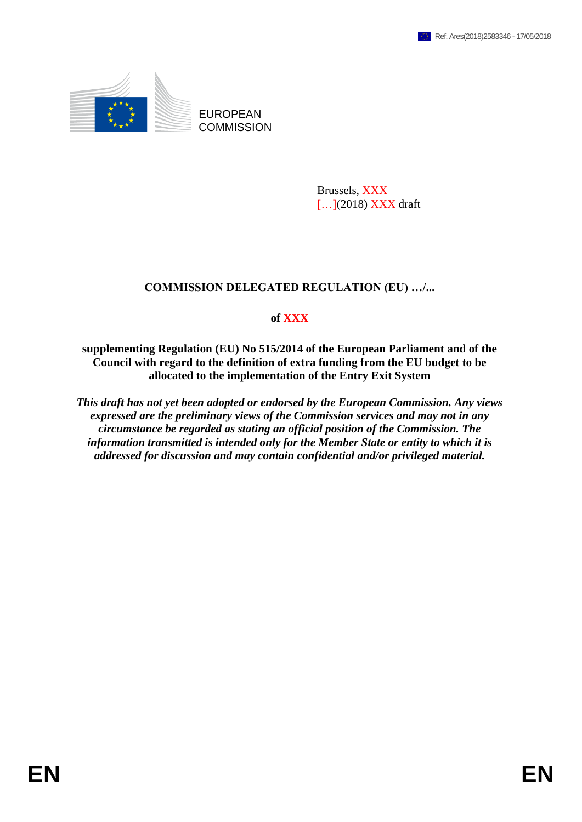

**COMMISSION** 

Brussels, XXX [...](2018) XXX draft

## **COMMISSION DELEGATED REGULATION (EU) …/...**

## **of XXX**

**supplementing Regulation (EU) No 515/2014 of the European Parliament and of the Council with regard to the definition of extra funding from the EU budget to be allocated to the implementation of the Entry Exit System**

*This draft has not yet been adopted or endorsed by the European Commission. Any views expressed are the preliminary views of the Commission services and may not in any circumstance be regarded as stating an official position of the Commission. The information transmitted is intended only for the Member State or entity to which it is addressed for discussion and may contain confidential and/or privileged material.*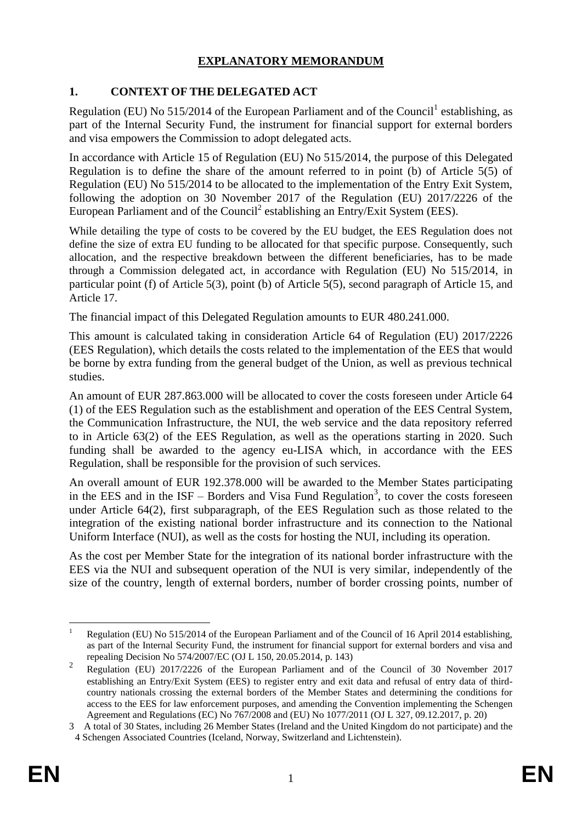# **EXPLANATORY MEMORANDUM**

## **1. CONTEXT OF THE DELEGATED ACT**

Regulation (EU) No 515/2014 of the European Parliament and of the Council<sup>1</sup> establishing, as part of the Internal Security Fund, the instrument for financial support for external borders and visa empowers the Commission to adopt delegated acts.

In accordance with Article 15 of Regulation (EU) No 515/2014, the purpose of this Delegated Regulation is to define the share of the amount referred to in point (b) of Article 5(5) of Regulation (EU) No 515/2014 to be allocated to the implementation of the Entry Exit System, following the adoption on 30 November 2017 of the Regulation (EU) 2017/2226 of the European Parliament and of the Council<sup>2</sup> establishing an Entry/Exit System (EES).

While detailing the type of costs to be covered by the EU budget, the EES Regulation does not define the size of extra EU funding to be allocated for that specific purpose. Consequently, such allocation, and the respective breakdown between the different beneficiaries, has to be made through a Commission delegated act, in accordance with Regulation (EU) No 515/2014, in particular point (f) of Article 5(3), point (b) of Article 5(5), second paragraph of Article 15, and Article 17.

The financial impact of this Delegated Regulation amounts to EUR 480.241.000.

This amount is calculated taking in consideration Article 64 of Regulation (EU) 2017/2226 (EES Regulation), which details the costs related to the implementation of the EES that would be borne by extra funding from the general budget of the Union, as well as previous technical studies.

An amount of EUR 287.863.000 will be allocated to cover the costs foreseen under Article 64 (1) of the EES Regulation such as the establishment and operation of the EES Central System, the Communication Infrastructure, the NUI, the web service and the data repository referred to in Article 63(2) of the EES Regulation, as well as the operations starting in 2020. Such funding shall be awarded to the agency eu-LISA which, in accordance with the EES Regulation, shall be responsible for the provision of such services.

An overall amount of EUR 192.378.000 will be awarded to the Member States participating in the EES and in the  $ISF -$  Borders and Visa Fund Regulation<sup>3</sup>, to cover the costs foreseen under Article 64(2), first subparagraph, of the EES Regulation such as those related to the integration of the existing national border infrastructure and its connection to the National Uniform Interface (NUI), as well as the costs for hosting the NUI, including its operation.

As the cost per Member State for the integration of its national border infrastructure with the EES via the NUI and subsequent operation of the NUI is very similar, independently of the size of the country, length of external borders, number of border crossing points, number of

<sup>&</sup>lt;u>.</u> Regulation (EU) No 515/2014 of the European Parliament and of the Council of 16 April 2014 establishing, as part of the Internal Security Fund, the instrument for financial support for external borders and visa and repealing Decision No 574/2007/EC (OJ L 150, 20.05.2014, p. 143)

<sup>2</sup> Regulation (EU) 2017/2226 of the European Parliament and of the Council of 30 November 2017 establishing an Entry/Exit System (EES) to register entry and exit data and refusal of entry data of thirdcountry nationals crossing the external borders of the Member States and determining the conditions for access to the EES for law enforcement purposes, and amending the Convention implementing the Schengen Agreement and Regulations (EC) No 767/2008 and (EU) No 1077/2011 (OJ L 327, 09.12.2017, p. 20)

<sup>3</sup> A total of 30 States, including 26 Member States (Ireland and the United Kingdom do not participate) and the 4 Schengen Associated Countries (Iceland, Norway, Switzerland and Lichtenstein).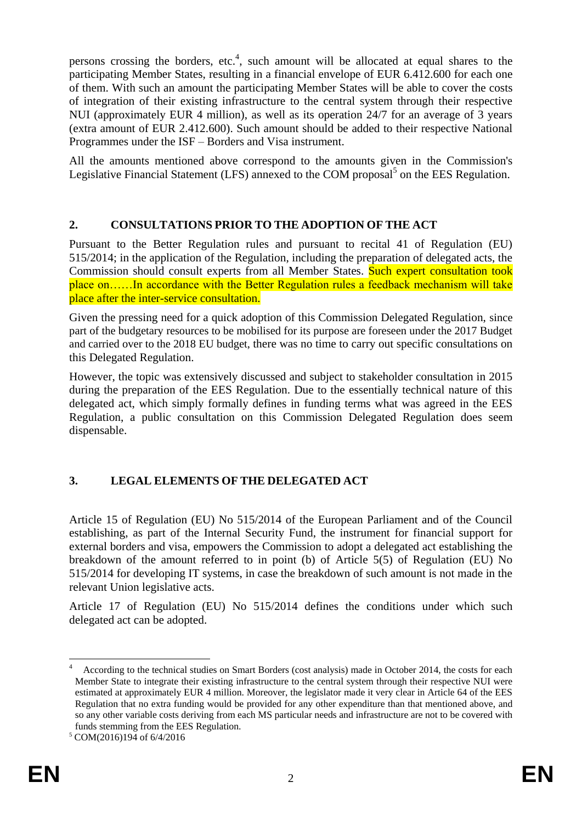persons crossing the borders, etc.<sup>4</sup>, such amount will be allocated at equal shares to the participating Member States, resulting in a financial envelope of EUR 6.412.600 for each one of them. With such an amount the participating Member States will be able to cover the costs of integration of their existing infrastructure to the central system through their respective NUI (approximately EUR 4 million), as well as its operation 24/7 for an average of 3 years (extra amount of EUR 2.412.600). Such amount should be added to their respective National Programmes under the ISF – Borders and Visa instrument.

All the amounts mentioned above correspond to the amounts given in the Commission's Legislative Financial Statement (LFS) annexed to the COM proposal<sup>5</sup> on the EES Regulation.

## **2. CONSULTATIONS PRIOR TO THE ADOPTION OF THE ACT**

Pursuant to the Better Regulation rules and pursuant to recital 41 of Regulation (EU) 515/2014; in the application of the Regulation, including the preparation of delegated acts, the Commission should consult experts from all Member States. Such expert consultation took place on……In accordance with the Better Regulation rules a feedback mechanism will take place after the inter-service consultation.

Given the pressing need for a quick adoption of this Commission Delegated Regulation, since part of the budgetary resources to be mobilised for its purpose are foreseen under the 2017 Budget and carried over to the 2018 EU budget, there was no time to carry out specific consultations on this Delegated Regulation.

However, the topic was extensively discussed and subject to stakeholder consultation in 2015 during the preparation of the EES Regulation. Due to the essentially technical nature of this delegated act, which simply formally defines in funding terms what was agreed in the EES Regulation, a public consultation on this Commission Delegated Regulation does seem dispensable.

# **3. LEGAL ELEMENTS OF THE DELEGATED ACT**

Article 15 of Regulation (EU) No 515/2014 of the European Parliament and of the Council establishing, as part of the Internal Security Fund, the instrument for financial support for external borders and visa, empowers the Commission to adopt a delegated act establishing the breakdown of the amount referred to in point (b) of Article 5(5) of Regulation (EU) No 515/2014 for developing IT systems, in case the breakdown of such amount is not made in the relevant Union legislative acts.

Article 17 of Regulation (EU) No 515/2014 defines the conditions under which such delegated act can be adopted.

<sup>&</sup>lt;u>.</u> 4 According to the technical studies on Smart Borders (cost analysis) made in October 2014, the costs for each Member State to integrate their existing infrastructure to the central system through their respective NUI were estimated at approximately EUR 4 million. Moreover, the legislator made it very clear in Article 64 of the EES Regulation that no extra funding would be provided for any other expenditure than that mentioned above, and so any other variable costs deriving from each MS particular needs and infrastructure are not to be covered with funds stemming from the EES Regulation.

<sup>5</sup> COM(2016)194 of 6/4/2016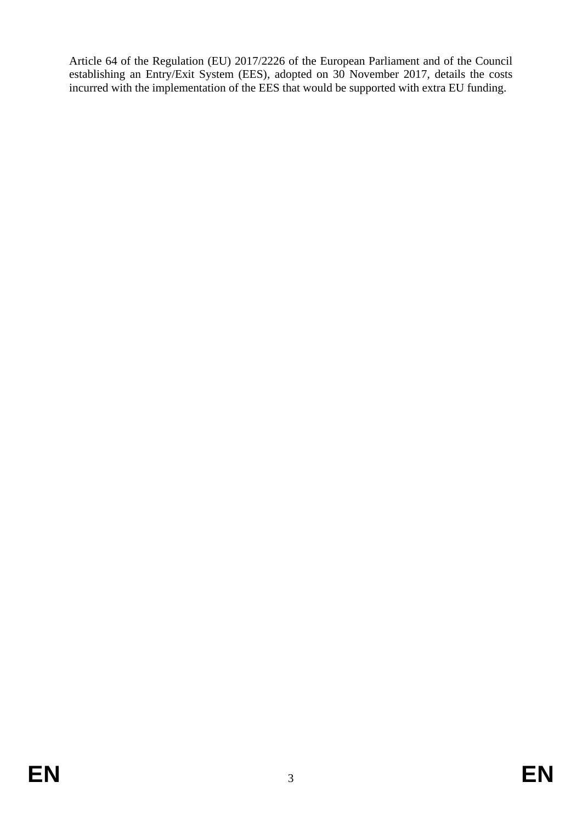Article 64 of the Regulation (EU) 2017/2226 of the European Parliament and of the Council establishing an Entry/Exit System (EES), adopted on 30 November 2017, details the costs incurred with the implementation of the EES that would be supported with extra EU funding.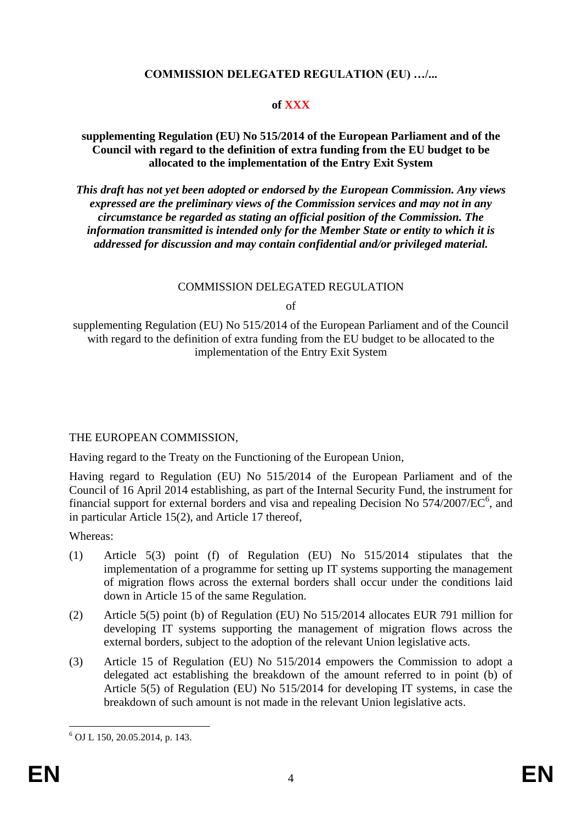## **COMMISSION DELEGATED REGULATION (EU) …/...**

## **of XXX**

#### **supplementing Regulation (EU) No 515/2014 of the European Parliament and of the Council with regard to the definition of extra funding from the EU budget to be allocated to the implementation of the Entry Exit System**

*This draft has not yet been adopted or endorsed by the European Commission. Any views expressed are the preliminary views of the Commission services and may not in any circumstance be regarded as stating an official position of the Commission. The information transmitted is intended only for the Member State or entity to which it is addressed for discussion and may contain confidential and/or privileged material.*

#### COMMISSION DELEGATED REGULATION

of

supplementing Regulation (EU) No 515/2014 of the European Parliament and of the Council with regard to the definition of extra funding from the EU budget to be allocated to the implementation of the Entry Exit System

#### THE EUROPEAN COMMISSION,

Having regard to the Treaty on the Functioning of the European Union,

Having regard to Regulation (EU) No 515/2014 of the European Parliament and of the Council of 16 April 2014 establishing, as part of the Internal Security Fund, the instrument for financial support for external borders and visa and repealing Decision No  $574/2007/EC^6$ , and in particular Article 15(2), and Article 17 thereof,

Whereas:

- (1) Article 5(3) point (f) of Regulation (EU) No 515/2014 stipulates that the implementation of a programme for setting up IT systems supporting the management of migration flows across the external borders shall occur under the conditions laid down in Article 15 of the same Regulation.
- (2) Article 5(5) point (b) of Regulation (EU) No 515/2014 allocates EUR 791 million for developing IT systems supporting the management of migration flows across the external borders, subject to the adoption of the relevant Union legislative acts.
- (3) Article 15 of Regulation (EU) No 515/2014 empowers the Commission to adopt a delegated act establishing the breakdown of the amount referred to in point (b) of Article 5(5) of Regulation (EU) No 515/2014 for developing IT systems, in case the breakdown of such amount is not made in the relevant Union legislative acts.

<sup>&</sup>lt;u>.</u>  $6$  OJ L 150, 20.05.2014, p. 143.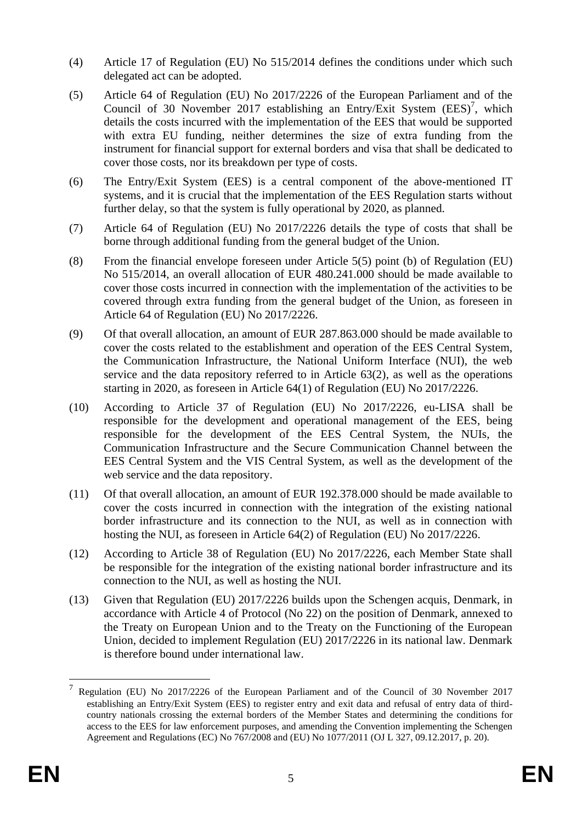- (4) Article 17 of Regulation (EU) No 515/2014 defines the conditions under which such delegated act can be adopted.
- (5) Article 64 of Regulation (EU) No 2017/2226 of the European Parliament and of the Council of 30 November 2017 establishing an Entry/Exit System  $(EES)^7$ , which details the costs incurred with the implementation of the EES that would be supported with extra EU funding, neither determines the size of extra funding from the instrument for financial support for external borders and visa that shall be dedicated to cover those costs, nor its breakdown per type of costs.
- (6) The Entry/Exit System (EES) is a central component of the above-mentioned IT systems, and it is crucial that the implementation of the EES Regulation starts without further delay, so that the system is fully operational by 2020, as planned.
- (7) Article 64 of Regulation (EU) No 2017/2226 details the type of costs that shall be borne through additional funding from the general budget of the Union.
- (8) From the financial envelope foreseen under Article 5(5) point (b) of Regulation (EU) No 515/2014, an overall allocation of EUR 480.241.000 should be made available to cover those costs incurred in connection with the implementation of the activities to be covered through extra funding from the general budget of the Union, as foreseen in Article 64 of Regulation (EU) No 2017/2226.
- (9) Of that overall allocation, an amount of EUR 287.863.000 should be made available to cover the costs related to the establishment and operation of the EES Central System, the Communication Infrastructure, the National Uniform Interface (NUI), the web service and the data repository referred to in Article 63(2), as well as the operations starting in 2020, as foreseen in Article 64(1) of Regulation (EU) No 2017/2226.
- (10) According to Article 37 of Regulation (EU) No 2017/2226, eu-LISA shall be responsible for the development and operational management of the EES, being responsible for the development of the EES Central System, the NUIs, the Communication Infrastructure and the Secure Communication Channel between the EES Central System and the VIS Central System, as well as the development of the web service and the data repository.
- (11) Of that overall allocation, an amount of EUR 192.378.000 should be made available to cover the costs incurred in connection with the integration of the existing national border infrastructure and its connection to the NUI, as well as in connection with hosting the NUI, as foreseen in Article 64(2) of Regulation (EU) No 2017/2226.
- (12) According to Article 38 of Regulation (EU) No 2017/2226, each Member State shall be responsible for the integration of the existing national border infrastructure and its connection to the NUI, as well as hosting the NUI.
- (13) Given that Regulation (EU) 2017/2226 builds upon the Schengen acquis, Denmark, in accordance with Article 4 of Protocol (No 22) on the position of Denmark, annexed to the Treaty on European Union and to the Treaty on the Functioning of the European Union, decided to implement Regulation (EU) 2017/2226 in its national law. Denmark is therefore bound under international law.

1

<sup>7</sup> Regulation (EU) No 2017/2226 of the European Parliament and of the Council of 30 November 2017 establishing an Entry/Exit System (EES) to register entry and exit data and refusal of entry data of thirdcountry nationals crossing the external borders of the Member States and determining the conditions for access to the EES for law enforcement purposes, and amending the Convention implementing the Schengen Agreement and Regulations (EC) No 767/2008 and (EU) No 1077/2011 (OJ L 327, 09.12.2017, p. 20).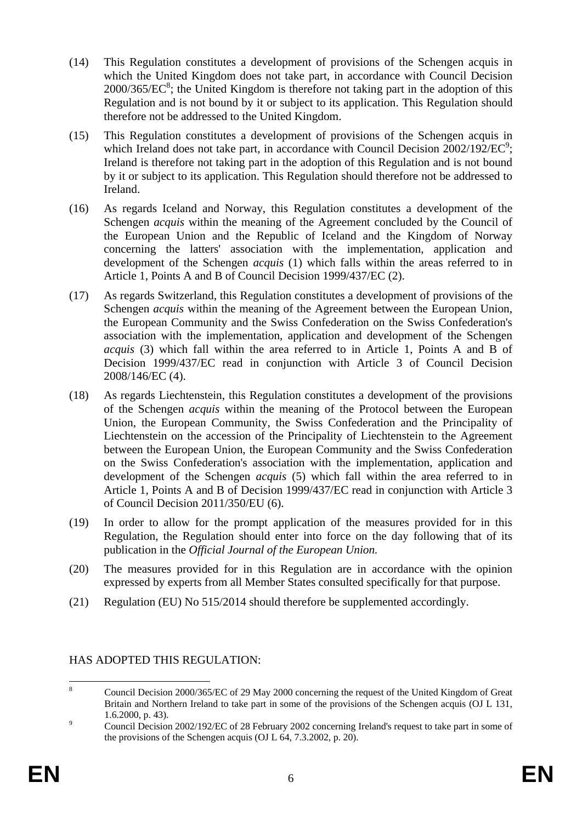- (14) This Regulation constitutes a development of provisions of the Schengen acquis in which the United Kingdom does not take part, in accordance with Council Decision  $2000/365/EC^8$ ; the United Kingdom is therefore not taking part in the adoption of this Regulation and is not bound by it or subject to its application. This Regulation should therefore not be addressed to the United Kingdom.
- (15) This Regulation constitutes a development of provisions of the Schengen acquis in which Ireland does not take part, in accordance with Council Decision  $2002/192/EC^9$ ; Ireland is therefore not taking part in the adoption of this Regulation and is not bound by it or subject to its application. This Regulation should therefore not be addressed to Ireland.
- (16) As regards Iceland and Norway, this Regulation constitutes a development of the Schengen *acquis* within the meaning of the Agreement concluded by the Council of the European Union and the Republic of Iceland and the Kingdom of Norway concerning the latters' association with the implementation, application and development of the Schengen *acquis* (1) which falls within the areas referred to in Article 1, Points A and B of Council Decision 1999/437/EC (2).
- (17) As regards Switzerland, this Regulation constitutes a development of provisions of the Schengen *acquis* within the meaning of the Agreement between the European Union, the European Community and the Swiss Confederation on the Swiss Confederation's association with the implementation, application and development of the Schengen *acquis* (3) which fall within the area referred to in Article 1, Points A and B of Decision 1999/437/EC read in conjunction with Article 3 of Council Decision 2008/146/EC (4).
- (18) As regards Liechtenstein, this Regulation constitutes a development of the provisions of the Schengen *acquis* within the meaning of the Protocol between the European Union, the European Community, the Swiss Confederation and the Principality of Liechtenstein on the accession of the Principality of Liechtenstein to the Agreement between the European Union, the European Community and the Swiss Confederation on the Swiss Confederation's association with the implementation, application and development of the Schengen *acquis* (5) which fall within the area referred to in Article 1, Points A and B of Decision 1999/437/EC read in conjunction with Article 3 of Council Decision 2011/350/EU (6).
- (19) In order to allow for the prompt application of the measures provided for in this Regulation, the Regulation should enter into force on the day following that of its publication in the *Official Journal of the European Union.*
- (20) The measures provided for in this Regulation are in accordance with the opinion expressed by experts from all Member States consulted specifically for that purpose.
- (21) Regulation (EU) No 515/2014 should therefore be supplemented accordingly.

## HAS ADOPTED THIS REGULATION:

 $\overline{8}$ <sup>8</sup> Council Decision 2000/365/EC of 29 May 2000 concerning the request of the United Kingdom of Great Britain and Northern Ireland to take part in some of the provisions of the Schengen acquis (OJ L 131, 1.6.2000, p. 43).

<sup>&</sup>lt;sup>9</sup><br>Council Decision 2002/192/EC of 28 February 2002 concerning Ireland's request to take part in some of the provisions of the Schengen acquis (OJ L 64, 7.3.2002, p. 20).